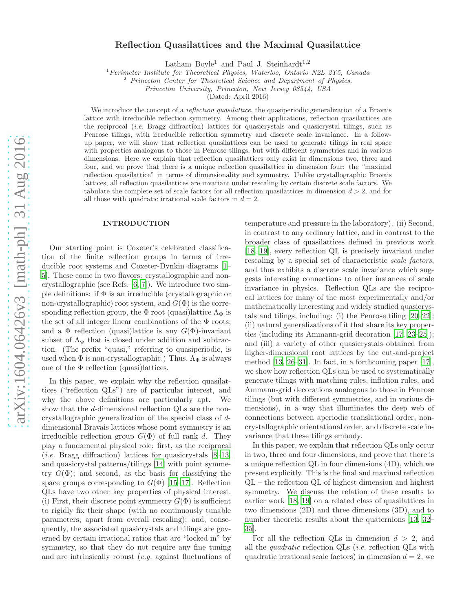# Reflection Quasilattices and the Maximal Quasilattice

Latham Boyle<sup>1</sup> and Paul J. Steinhardt<sup>1,2</sup>

<sup>1</sup>*Perimeter Institute for Theoretical Physics, Waterloo, Ontario N2L 2Y5, Canada*

<sup>2</sup> *Princeton Center for Theoretical Science and Department of Physics,*

*Princeton University, Princeton, New Jersey 08544, USA*

(Dated: April 2016)

We introduce the concept of a *reflection quasilattice*, the quasiperiodic generalization of a Bravais lattice with irreducible reflection symmetry. Among their applications, reflection quasilattices are the reciprocal (*i.e.* Bragg diffraction) lattices for quasicrystals and quasicrystal tilings, such as Penrose tilings, with irreducible reflection symmetry and discrete scale invariance. In a followup paper, we will show that reflection quasilattices can be used to generate tilings in real space with properties analogous to those in Penrose tilings, but with different symmetries and in various dimensions. Here we explain that reflection quasilattices only exist in dimensions two, three and four, and we prove that there is a unique reflection quasilattice in dimension four: the "maximal reflection quasilattice" in terms of dimensionality and symmetry. Unlike crystallographic Bravais lattices, all reflection quasilattices are invariant under rescaling by certain discrete scale factors. We tabulate the complete set of scale factors for all reflection quasilattices in dimension  $d > 2$ , and for all those with quadratic irrational scale factors in  $d = 2$ .

### INTRODUCTION

Our starting point is Coxeter's celebrated classification of the finite reflection groups in terms of irreducible root systems and Coxeter-Dynkin diagrams [\[1](#page-4-0)– [5](#page-4-1)]. These come in two flavors: crystallographic and noncrystallographic (see Refs. [\[6,](#page-4-2) [7](#page-4-3)]). We introduce two simple definitions: if  $\Phi$  is an irreducible (crystallographic or non-crystallographic) root system, and  $G(\Phi)$  is the corresponding reflection group, the  $\Phi$  root (quasi)lattice  $\Lambda_{\Phi}$  is the set of all integer linear combinations of the  $\Phi$  roots; and a  $\Phi$  reflection (quasi)lattice is any  $G(\Phi)$ -invariant subset of  $\Lambda_{\Phi}$  that is closed under addition and subtraction. (The prefix "quasi," referring to quasiperiodic, is used when  $\Phi$  is non-crystallographic.) Thus,  $\Lambda_{\Phi}$  is always one of the  $\Phi$  reflection (quasi)lattices.

In this paper, we explain why the reflection quasilattices ("reflection QLs") are of particular interest, and why the above definitions are particularly apt. We show that the d-dimensional reflection QLs are the noncrystallographic generalization of the special class of ddimensional Bravais lattices whose point symmetry is an irreducible reflection group  $G(\Phi)$  of full rank d. They play a fundamental physical role: first, as the reciprocal (*i.e.* Bragg diffraction) lattices for quasicrystals  $[8-13]$ and quasicrystal patterns/tilings [\[14](#page-4-6)] with point symmetry  $G(\Phi)$ ; and second, as the basis for classifying the space groups corresponding to  $G(\Phi)$  [\[15](#page-4-7)[–17\]](#page-4-8). Reflection QLs have two other key properties of physical interest. (i) First, their discrete point symmetry  $G(\Phi)$  is sufficient to rigidly fix their shape (with no continuously tunable parameters, apart from overall rescaling); and, consequently, the associated quasicrystals and tilings are governed by certain irrational ratios that are "locked in" by symmetry, so that they do not require any fine tuning and are intrinsically robust (e.g. against fluctuations of

temperature and pressure in the laboratory). (ii) Second, in contrast to any ordinary lattice, and in contrast to the broader class of quasilattices defined in previous work [\[18,](#page-4-9) [19](#page-4-10)], every reflection QL is precisely invariant under rescaling by a special set of characteristic scale factors, and thus exhibits a discrete scale invariance which suggests interesting connections to other instances of scale invariance in physics. Reflection QLs are the reciprocal lattices for many of the most experimentally and/or mathematically interesting and widely studied quasicrystals and tilings, including: (i) the Penrose tiling [\[20](#page-4-11)[–22\]](#page-4-12); (ii) natural generalizations of it that share its key properties (including its Ammann-grid decoration [\[17,](#page-4-8) [23](#page-4-13)[–25\]](#page-4-14)); and (iii) a variety of other quasicrystals obtained from higher-dimensional root lattices by the cut-and-project method [\[13,](#page-4-5) [26](#page-4-15)[–31\]](#page-4-16). In fact, in a forthcoming paper [\[17\]](#page-4-8), we show how reflection QLs can be used to systematically generate tilings with matching rules, inflation rules, and Ammann-grid decorations analogous to those in Penrose tilings (but with different symmetries, and in various dimensions), in a way that illuminates the deep web of connections between aperiodic translational order, noncrystallographic orientational order, and discrete scale invariance that these tilings embody.

In this paper, we explain that reflection QLs only occur in two, three and four dimensions, and prove that there is a unique reflection QL in four dimensions (4D), which we present explicitly. This is the final and maximal reflection  $QL$  – the reflection  $QL$  of highest dimension and highest symmetry. We discuss the relation of these results to earlier work [\[18,](#page-4-9) [19\]](#page-4-10) on a related class of quasilattices in two dimensions (2D) and three dimensions (3D), and to number theoretic results about the quaternions [\[13,](#page-4-5) [32](#page-4-17)– [35](#page-5-0)].

For all the reflection QLs in dimension  $d > 2$ , and all the quadratic reflection QLs (i.e. reflection QLs with quadratic irrational scale factors) in dimension  $d = 2$ , we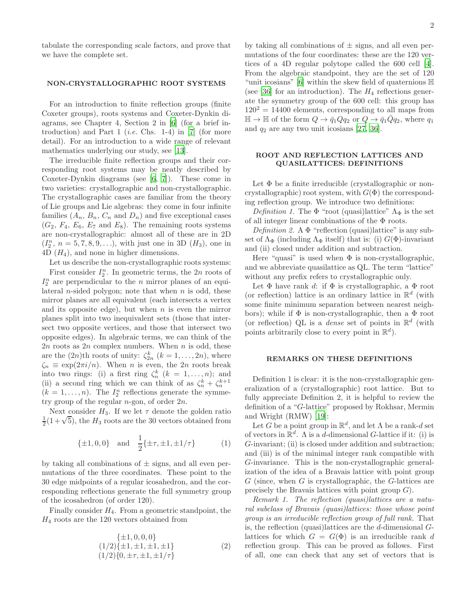tabulate the corresponding scale factors, and prove that we have the complete set.

### NON-CRYSTALLOGRAPHIC ROOT SYSTEMS

For an introduction to finite reflection groups (finite Coxeter groups), roots systems and Coxeter-Dynkin diagrams, see Chapter 4, Section 2 in [\[6](#page-4-2)] (for a brief introduction) and Part 1 (*i.e.* Chs. 1-4) in [\[7\]](#page-4-3) (for more detail). For an introduction to a wide range of relevant mathematics underlying our study, see [\[13](#page-4-5)].

The irreducible finite reflection groups and their corresponding root systems may be neatly described by Coxeter-Dynkin diagrams (see [\[6,](#page-4-2) [7\]](#page-4-3)). These come in two varieties: crystallographic and non-crystallographic. The crystallographic cases are familiar from the theory of Lie groups and Lie algebras: they come in four infinite families  $(A_n, B_n, C_n$  and  $D_n)$  and five exceptional cases  $(G_2, F_4, E_6, E_7 \text{ and } E_8)$ . The remaining roots systems are non-crystallographic: almost all of these are in 2D  $(I_2^n, n = 5, 7, 8, 9, \ldots)$ , with just one in 3D  $(H_3)$ , one in  $4D(H_4)$ , and none in higher dimensions.

Let us describe the non-crystallographic roots systems:

First consider  $I_2^n$ . In geometric terms, the  $2n$  roots of  $I_2^n$  are perpendicular to the *n* mirror planes of an equilateral *n*-sided polygon; note that when *n* is odd, these mirror planes are all equivalent (each intersects a vertex and its opposite edge), but when  $n$  is even the mirror planes split into two inequivalent sets (those that intersect two opposite vertices, and those that intersect two opposite edges). In algebraic terms, we can think of the  $2n$  roots as  $2n$  complex numbers. When n is odd, these are the  $(2n)$ th roots of unity:  $\zeta_{2n}^k$   $(k = 1, \ldots, 2n)$ , where  $\zeta_n \equiv \exp(2\pi i/n)$ . When *n* is even, the 2*n* roots break into two rings: (i) a first ring  $\zeta_n^k$   $(k = 1, \ldots, n)$ ; and (ii) a second ring which we can think of as  $\zeta_n^k + \zeta_n^{k+1}$  $(k = 1, \ldots, n)$ . The  $I_2^n$  reflections generate the symmetry group of the regular  $n$ -gon, of order  $2n$ .

Next consider  $H_3$ . If we let  $\tau$  denote the golden ratio  $\frac{1}{2}(1+\sqrt{5})$ , the  $H_3$  roots are the 30 vectors obtained from

<span id="page-1-0"></span>
$$
\{\pm 1, 0, 0\} \quad \text{and} \quad \frac{1}{2} \{\pm \tau, \pm 1, \pm 1/\tau\} \tag{1}
$$

by taking all combinations of  $\pm$  signs, and all even permutations of the three coordinates. These point to the 30 edge midpoints of a regular icosahedron, and the corresponding reflections generate the full symmetry group of the icosahedron (of order 120).

Finally consider  $H_4$ . From a geometric standpoint, the  $H_4$  roots are the 120 vectors obtained from

<span id="page-1-1"></span>
$$
\{\pm 1, 0, 0, 0\}(1/2)\{\pm 1, \pm 1, \pm 1, \pm 1\}(1/2)\{0, \pm \tau, \pm 1, \pm 1/\tau\}
$$
(2)

by taking all combinations of  $\pm$  signs, and all even permutations of the four coordinates: these are the 120 vertices of a 4D regular polytope called the 600 cell [\[4\]](#page-4-18). From the algebraic standpoint, they are the set of 120 "unit icosians" [\[6\]](#page-4-2) within the skew field of quaternions  $\mathbb H$ (see [\[36\]](#page-5-1) for an introduction). The  $H_4$  reflections generate the symmetry group of the 600 cell: this group has  $120^2 = 14400$  elements, corresponding to all maps from  $\mathbb{H} \to \mathbb{H}$  of the form  $Q \to \bar{q}_1 Q q_2$  or  $Q \to \bar{q}_1 \bar{Q} q_2$ , where  $q_1$ and  $q_2$  are any two unit icosians [\[27](#page-4-19), [36](#page-5-1)].

### ROOT AND REFLECTION LATTICES AND QUASILATTICES: DEFINITIONS

Let  $\Phi$  be a finite irreducible (crystallographic or noncrystallographic) root system, with  $G(\Phi)$  the corresponding reflection group. We introduce two definitions:

Definition 1. The  $\Phi$  "root (quasi)lattice"  $\Lambda_{\Phi}$  is the set of all integer linear combinations of the Φ roots.

Definition 2. A  $\Phi$  "reflection (quasi)lattice" is any subset of  $\Lambda_{\Phi}$  (including  $\Lambda_{\Phi}$  itself) that is: (i)  $G(\Phi)$ -invariant and (ii) closed under addition and subtraction.

Here "quasi" is used when  $\Phi$  is non-crystallographic, and we abbreviate quasilattice as QL. The term "lattice" without any prefix refers to crystallographic only.

Let  $\Phi$  have rank d: if  $\Phi$  is crystallographic, a  $\Phi$  root (or reflection) lattice is an ordinary lattice in  $\mathbb{R}^d$  (with some finite minimum separation between nearest neighbors); while if  $\Phi$  is non-crystallographic, then a  $\Phi$  root (or reflection) QL is a *dense* set of points in  $\mathbb{R}^d$  (with points arbitrarily close to every point in  $\mathbb{R}^d$ .

### REMARKS ON THESE DEFINITIONS

Definition 1 is clear: it is the non-crystallographic generalization of a (crystallographic) root lattice. But to fully appreciate Definition 2, it is helpful to review the definition of a "G-lattice" proposed by Rokhsar, Mermin and Wright (RMW) [\[19](#page-4-10)]:

Let G be a point group in  $\mathbb{R}^d$ , and let  $\Lambda$  be a rank-d set of vectors in  $\mathbb{R}^d$ . A is a d-dimensional G-lattice if it: (i) is G-invariant; (ii) is closed under addition and subtraction; and (iii) is of the minimal integer rank compatible with G-invariance. This is the non-crystallographic generalization of the idea of a Bravais lattice with point group  $G$  (since, when  $G$  is crystallographic, the  $G$ -lattices are precisely the Bravais lattices with point group  $G$ ).

Remark 1. The reflection (quasi)lattices are a natural subclass of Bravais (quasi)lattices: those whose point group is an irreducible reflection group of full rank. That is, the reflection (quasi)lattices are the  $d$ -dimensional  $G$ lattices for which  $G = G(\Phi)$  is an irreducible rank d reflection group. This can be proved as follows. First of all, one can check that any set of vectors that is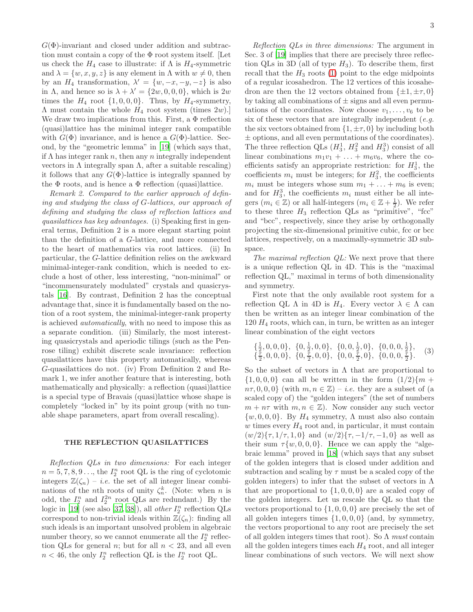$G(\Phi)$ -invariant and closed under addition and subtraction must contain a copy of the  $\Phi$  root system itself. [Let us check the  $H_4$  case to illustrate: if  $\Lambda$  is  $H_4$ -symmetric and  $\lambda = \{w, x, y, z\}$  is any element in  $\Lambda$  with  $w \neq 0$ , then by an  $H_4$  transformation,  $\lambda' = \{w, -x, -y, -z\}$  is also in  $\Lambda$ , and hence so is  $\lambda + \lambda' = \{2w, 0, 0, 0\}$ , which is  $2w$ times the  $H_4$  root  $\{1, 0, 0, 0\}$ . Thus, by  $H_4$ -symmetry,  $\Lambda$  must contain the whole  $H_4$  root system (times  $2w$ ).] We draw two implications from this. First, a  $\Phi$  reflection (quasi)lattice has the minimal integer rank compatible with  $G(\Phi)$  invariance, and is hence a  $G(\Phi)$ -lattice. Second, by the "geometric lemma" in [\[19\]](#page-4-10) (which says that, if  $\Lambda$  has integer rank  $n$ , then any  $n$  integrally independent vectors in  $\Lambda$  integrally span  $\Lambda$ , after a suitable rescaling) it follows that any  $G(\Phi)$ -lattice is integrally spanned by the  $\Phi$  roots, and is hence a  $\Phi$  reflection (quasi)lattice.

Remark 2. Compared to the earlier approach of defining and studying the class of G-lattices, our approach of defining and studying the class of reflection lattices and quasilattices has key advantages. (i) Speaking first in general terms, Definition 2 is a more elegant starting point than the definition of a G-lattice, and more connected to the heart of mathematics via root lattices. (ii) In particular, the G-lattice definition relies on the awkward minimal-integer-rank condition, which is needed to exclude a host of other, less interesting, "non-minimal" or "incommensurately modulated" crystals and quasicrystals [\[16\]](#page-4-20). By contrast, Definition 2 has the conceptual advantage that, since it is fundamentally based on the notion of a root system, the minimal-integer-rank property is achieved automatically, with no need to impose this as a separate condition. (iii) Similarly, the most interesting quasicrystals and aperiodic tilings (such as the Penrose tiling) exhibit discrete scale invariance: reflection quasilattices have this property automatically, whereas G-quasilattices do not. (iv) From Definition 2 and Remark 1, we infer another feature that is interesting, both mathematically and physically: a reflection (quasi)lattice is a special type of Bravais (quasi)lattice whose shape is completely "locked in" by its point group (with no tunable shape parameters, apart from overall rescaling).

## THE REFLECTION QUASILATTICES

Reflection QLs in two dimensions: For each integer  $n = 5, 7, 8, 9 \dots$ , the  $I_2^n$  root QL is the ring of cyclotomic integers  $\mathbb{Z}(\zeta_n) - i.e.$  the set of all integer linear combinations of the *n*<sup>th</sup> roots of unity  $\zeta_n^k$ . (Note: when *n* is odd, the  $I_2^n$  and  $I_2^{2n}$  root QLs are redundant.) By the logic in [\[19\]](#page-4-10) (see also [\[37](#page-5-2), [38\]](#page-5-3)), all *other*  $I_2^n$  reflection QLs correspond to non-trivial ideals within  $\mathbb{Z}(\zeta_n)$ : finding all such ideals is an important unsolved problem in algebraic number theory, so we cannot enumerate all the  $I_2^n$  reflection QLs for general *n*; but for all  $n < 23$ , and all even  $n < 46$ , the only  $I_2^n$  reflection QL is the  $I_2^n$  root QL.

Reflection QLs in three dimensions: The argument in Sec. 3 of [\[19\]](#page-4-10) implies that there are precisely three reflection QLs in 3D (all of type  $H_3$ ). To describe them, first recall that the  $H_3$  roots [\(1\)](#page-1-0) point to the edge midpoints of a regular icosahedron. The 12 vertices of this icosahedron are then the 12 vectors obtained from  $\{\pm 1, \pm \tau, 0\}$ by taking all combinations of  $\pm$  signs and all even permutations of the coordinates. Now choose  $v_1, \ldots, v_6$  to be six of these vectors that are integrally independent  $(e.g.,)$ the six vectors obtained from  $\{1, \pm \tau, 0\}$  by including both  $\pm$  options, and all even permutations of the coordinates). The three reflection QLs  $(H_3^1, H_3^2 \text{ and } H_3^3)$  consist of all linear combinations  $m_1v_1 + \ldots + m_6v_6$ , where the coefficients satisfy an appropriate restriction: for  $H_3^1$ , the coefficients  $m_i$  must be integers; for  $H_3^2$ , the coefficients  $m_i$  must be integers whose sum  $m_1 + \ldots + m_6$  is even; and for  $H_3^3$ , the coefficients  $m_i$  must either be all integers  $(m_i \in \mathbb{Z})$  or all half-integers  $(m_i \in \mathbb{Z} + \frac{1}{2})$ . We refer to these three  $H_3$  reflection QLs as "primitive", "fcc" and "bcc", respectively, since they arise by orthogonally projecting the six-dimensional primitive cubic, fcc or bcc lattices, respectively, on a maximally-symmetric 3D subspace.

The maximal reflection  $QL$ : We next prove that there is a unique reflection QL in 4D. This is the "maximal reflection QL," maximal in terms of both dimensionality and symmetry.

First note that the only available root system for a reflection QL  $\Lambda$  in 4D is  $H_4$ . Every vector  $\lambda \in \Lambda$  can then be written as an integer linear combination of the  $120 H_4$  roots, which can, in turn, be written as an integer linear combination of the eight vectors

$$
\{\frac{1}{2}, 0, 0, 0\}, \{0, \frac{1}{2}, 0, 0\}, \{0, 0, \frac{1}{2}, 0\}, \{0, 0, 0, \frac{1}{2}\}, \{\frac{7}{2}, 0, 0, 0\}, \{0, \frac{7}{2}, 0, 0\}, \{0, 0, \frac{7}{2}, 0\}, \{0, 0, 0, \frac{7}{2}\}.
$$
 (3)

So the subset of vectors in  $\Lambda$  that are proportional to  $\{1, 0, 0, 0\}$  can all be written in the form  $(1/2)\{m +$  $n\tau, 0, 0, 0$  (with  $m, n \in \mathbb{Z}$ ) – *i.e.* they are a subset of (a scaled copy of) the "golden integers" (the set of numbers  $m + n\tau$  with  $m, n \in \mathbb{Z}$ . Now consider any such vector  $\{w, 0, 0, 0\}$ . By  $H_4$  symmetry,  $\Lambda$  must also also contain  $w$  times every  $H_4$  root and, in particular, it must contain  $(w/2)\{\tau,1/\tau,1,0\}$  and  $(w/2)\{\tau,-1/\tau,-1,0\}$  as well as their sum  $\tau \{w, 0, 0, 0\}$ . Hence we can apply the "algebraic lemma" proved in [\[18](#page-4-9)] (which says that any subset of the golden integers that is closed under addition and subtraction and scaling by  $\tau$  must be a scaled copy of the golden integers) to infer that the subset of vectors in  $\Lambda$ that are proportional to  $\{1, 0, 0, 0\}$  are a scaled copy of the golden integers. Let us rescale the QL so that the vectors proportional to  $\{1, 0, 0, 0\}$  are precisely the set of all golden integers times  $\{1, 0, 0, 0\}$  (and, by symmetry, the vectors proportional to any root are precisely the set of all golden integers times that root). So  $\Lambda$  must contain all the golden integers times each  $H_4$  root, and all integer linear combinations of such vectors. We will next show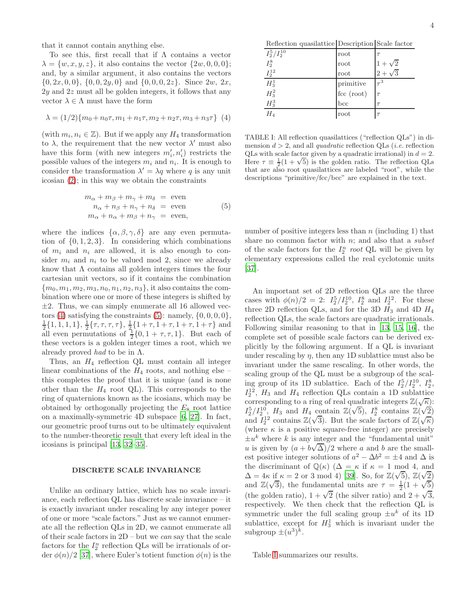that it cannot contain anything else.

To see this, first recall that if  $\Lambda$  contains a vector  $\lambda = \{w, x, y, z\}$ , it also contains the vector  $\{2w, 0, 0, 0\}$ ; and, by a similar argument, it also contains the vectors  $\{0, 2x, 0, 0\}, \{0, 0, 2y, 0\}$  and  $\{0, 0, 0, 2z\}$ . Since  $2w, 2x$ ,  $2y$  and  $2z$  must all be golden integers, it follows that any vector  $\lambda \in \Lambda$  must have the form

<span id="page-3-0"></span>
$$
\lambda = (1/2)\{m_0 + n_0\tau, m_1 + n_1\tau, m_2 + n_2\tau, m_3 + n_3\tau\} \tag{4}
$$

(with  $m_i, n_i \in \mathbb{Z}$ ). But if we apply any  $H_4$  transformation to  $\lambda$ , the requirement that the new vector  $\lambda'$  must also have this form (with new integers  $m'_i, n'_i$ ) restricts the possible values of the integers  $m_i$  and  $n_i$ . It is enough to consider the transformation  $\lambda' = \lambda q$  where q is any unit icosian [\(2\)](#page-1-1); in this way we obtain the constraints

<span id="page-3-1"></span>
$$
m_{\alpha} + m_{\beta} + m_{\gamma} + m_{\delta} = \text{even}
$$
  
\n
$$
n_{\alpha} + n_{\beta} + n_{\gamma} + n_{\delta} = \text{even}
$$
  
\n
$$
m_{\alpha} + n_{\alpha} + m_{\beta} + n_{\gamma} = \text{even},
$$
  
\n(5)

where the indices  $\{\alpha, \beta, \gamma, \delta\}$  are any even permutation of  $\{0, 1, 2, 3\}$ . In considering which combinations of  $m_i$  and  $n_i$  are allowed, it is also enough to consider  $m_i$  and  $n_i$  to be valued mod 2, since we already know that  $\Lambda$  contains all golden integers times the four cartesian unit vectors, so if it contains the combination  ${m_0, m_1, m_2, m_3, n_0, n_1, n_2, n_3}$ , it also contains the combination where one or more of these integers is shifted by  $\pm 2$ . Thus, we can simply enumerate all 16 allowed vec-tors [\(4\)](#page-3-0) satisfying the constraints  $(5)$ : namely,  $\{0, 0, 0, 0\}$ ,  $\frac{1}{2}$ {1, 1, 1, 1},  $\frac{1}{2}$ { $\tau$ ,  $\tau$ ,  $\tau$ ,  $\tau$ },  $\frac{1}{2}$ {1+ $\tau$ , 1+ $\tau$ , 1+ $\tau$ , 1+ $\tau$ } and all even permutations of  $\frac{1}{2}$ {0, 1 +  $\tau$ ,  $\tau$ , 1}. But each of these vectors is a golden integer times a root, which we already proved had to be in  $\Lambda$ .

Thus, an  $H_4$  reflection QL must contain all integer linear combinations of the  $H_4$  roots, and nothing else – this completes the proof that it is unique (and is none other than the  $H_4$  root QL). This corresponds to the ring of quaternions known as the icosians, which may be obtained by orthogonally projecting the  $E_8$  root lattice on a maximally-symmetric 4D subspace [\[6](#page-4-2), [27\]](#page-4-19). In fact, our geometric proof turns out to be ultimately equivalent to the number-theoretic result that every left ideal in the icosians is principal [\[13,](#page-4-5) [32](#page-4-17)[–35\]](#page-5-0).

### DISCRETE SCALE INVARIANCE

Unlike an ordinary lattice, which has no scale invariance, each reflection QL has discrete scale invariance – it is exactly invariant under rescaling by any integer power of one or more "scale factors." Just as we cannot enumerate all the reflection QLs in 2D, we cannot enumerate all of their scale factors in 2D – but we can say that the scale factors for the  $I_2^n$  reflection QLs will be irrationals of order  $\phi(n)/2$  [\[37](#page-5-2)], where Euler's totient function  $\phi(n)$  is the

Reflection quasilattice Description Scale factor

| $I_2^5/I_2^{10}$            | $\operatorname*{root}$                  |                |
|-----------------------------|-----------------------------------------|----------------|
| $I_2^8$                     | root                                    | $1 + \sqrt{2}$ |
| $I_2^{12}$                  | root                                    | $2 + \cdot$    |
| $\overline{H^1_3} \\ H^2_3$ | primitive                               | $\tau^3$       |
|                             | $\ensuremath{\text{fcc}}\xspace$ (root) | $\tau$         |
| $H_3^3$                     | bcc                                     | $\tau$         |
| $H_4$                       | root                                    | $\tau$         |

<span id="page-3-2"></span>TABLE I: All reflection quasilattices ("reflection QLs") in dimension d > 2, and all *quadratic* reflection QLs (*i.e.* reflection QLs with scale factor given by a quadratic irrational) in  $d = 2$ . Here  $\tau \equiv \frac{1}{2}(1+\sqrt{5})$  is the golden ratio. The reflection QLs that are also root quasilattices are labeled "root", while the descriptions "primitive/fcc/bcc" are explained in the text.

number of positive integers less than  $n$  (including 1) that share no common factor with  $n$ ; and also that a *subset* of the scale factors for the  $I_2^n$  root QL will be given by elementary expressions called the real cyclotomic units [\[37\]](#page-5-2).

An important set of 2D reflection QLs are the three cases with  $\phi(n)/2 = 2$ :  $I_2^5/I_2^{10}$ ,  $I_2^8$  and  $I_2^{12}$ . For these three 2D reflection QLs, and for the 3D  $H_3$  and 4D  $H_4$ reflection QLs, the scale factors are quadratic irrationals. Following similar reasoning to that in [\[13,](#page-4-5) [15,](#page-4-7) [16\]](#page-4-20), the complete set of possible scale factors can be derived explicitly by the following argument. If a QL is invariant under rescaling by  $\eta$ , then any 1D sublattice must also be invariant under the same rescaling. In other words, the scaling group of the QL must be a subgroup of the scaling group of its 1D sublattice. Each of the  $I_2^5/I_2^{10}$ ,  $I_2^8$ ,  $I_2^{12}$ ,  $H_3$  and  $H_4$  reflection QLs contain a 1D sublattice corresponding to a ring of real quadratic integers  $\mathbb{Z}(\sqrt{\kappa})$ :  $I_2^5/I_2^{10}$ ,  $H_3$  and  $H_4$  contain  $\mathbb{Z}(\sqrt{5})$ ,  $I_2^8$  contains  $\mathbb{Z}(\sqrt{2})$ and  $I_2^{12}$  contains  $\mathbb{Z}(\sqrt{3})$ . But the scale factors of  $\mathbb{Z}(\sqrt{\kappa})$ (where  $\kappa$  is a positive square-free integer) are precisely  $\pm u^k$  where k is any integer and the "fundamental unit" u is given by  $(a + b\sqrt{\Delta})/2$  where a and b are the smallest positive integer solutions of  $a^2 - \Delta b^2 = \pm 4$  and  $\Delta$  is the discriminant of  $\mathbb{Q}(\kappa)$  ( $\Delta = \kappa$  if  $\kappa = 1 \mod 4$ , and  $\Delta = 4\kappa$  if  $\kappa = 2$  or 3 mod 4) [\[39](#page-5-4)]. So, for  $\mathbb{Z}(\sqrt{5})$ ,  $\mathbb{Z}(\sqrt{2})$ and  $\mathbb{Z}(\sqrt{3})$ , the fundamental units are  $\tau = \frac{1}{2}(1 + \sqrt{5})$ (the golden ratio),  $1 + \sqrt{2}$  (the silver ratio) and  $2 + \sqrt{3}$ , respectively. We then check that the reflection QL is symmetric under the full scaling group  $\pm u^k$  of its 1D sublattice, except for  $H_3^1$  which is invariant under the subgroup  $\pm (u^3)^k$ .

Table [I](#page-3-2) summarizes our results.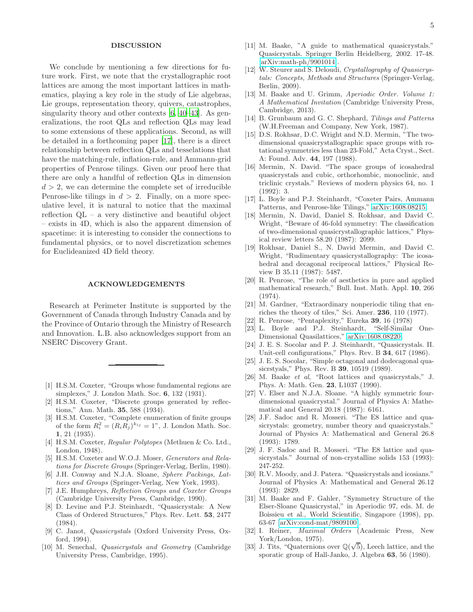#### DISCUSSION

We conclude by mentioning a few directions for future work. First, we note that the crystallographic root lattices are among the most important lattices in mathematics, playing a key role in the study of Lie algebras, Lie groups, representation theory, quivers, catastrophes, singularity theory and other contexts [\[6,](#page-4-2) [40](#page-5-5)[–43\]](#page-5-6). As generalizations, the root QLs and reflection QLs may lead to some extensions of these applications. Second, as will be detailed in a forthcoming paper [\[17\]](#page-4-8), there is a direct relationship between reflection QLs and tesselations that have the matching-rule, inflation-rule, and Ammann-grid properties of Penrose tilings. Given our proof here that there are only a handful of reflection QLs in dimension  $d > 2$ , we can determine the complete set of irreducible Penrose-like tilings in  $d > 2$ . Finally, on a more speculative level, it is natural to notice that the maximal reflection QL – a very distinctive and beautiful object – exists in 4D, which is also the apparent dimension of spacetime: it is interesting to consider the connections to fundamental physics, or to novel discretization schemes for Euclideanized 4D field theory.

### ACKNOWLEDGEMENTS

Research at Perimeter Institute is supported by the Government of Canada through Industry Canada and by the Province of Ontario through the Ministry of Research and Innovation. L.B. also acknowledges support from an NSERC Discovery Grant.

- <span id="page-4-0"></span>[1] H.S.M. Coxeter, "Groups whose fundamental regions are simplexes," J. London Math. Soc. 6, 132 (1931).
- [2] H.S.M. Coxeter, "Discrete groups generated by reflections," Ann. Math. 35, 588 (1934).
- [3] H.S.M. Coxeter, "Complete enumeration of finite groups of the form  $R_i^2 = (R_i R_j)^{k_{ij}} = 1$ ", J. London Math. Soc. 1, 21 (1935).
- <span id="page-4-18"></span>[4] H.S.M. Coxeter, *Regular Polytopes* (Methuen & Co. Ltd., London, 1948).
- <span id="page-4-1"></span>[5] H.S.M. Coxeter and W.O.J. Moser, *Generators and Relations for Discrete Groups* (Springer-Verlag, Berlin, 1980).
- <span id="page-4-2"></span>[6] J.H. Conway and N.J.A. Sloane, *Sphere Packings, Lattices and Groups* (Springer-Verlag, New York, 1993).
- <span id="page-4-3"></span>[7] J.E. Humphreys, *Reflection Groups and Coxeter Groups* (Cambridge University Press, Cambridge, 1990).
- <span id="page-4-4"></span>[8] D. Levine and P.J. Steinhardt, "Quasicrystals: A New Class of Ordered Structures," Phys. Rev. Lett. 53, 2477 (1984).
- [9] C. Janot, *Quasicrystals* (Oxford University Press, Oxford, 1994).
- [10] M. Senechal, *Quasicrystals and Geometry* (Cambridge University Press, Cambridge, 1995).
- [12] W. Steurer and S. Deloudi, *Crystallography of Quasicrystals: Concepts, Methods and Structures* (Springer-Verlag, Berlin, 2009).
- <span id="page-4-5"></span>[13] M. Baake and U. Grimm, *Aperiodic Order. Volume 1: A Mathematical Invitation* (Cambridge University Press, Cambridge, 2013).
- <span id="page-4-6"></span>[14] B. Grunbaum and G. C. Shephard, *Tilings and Patterns* (W.H.Freeman and Company, New York, 1987).
- <span id="page-4-7"></span>[15] D.S. Rokhsar, D.C. Wright and N.D. Mermin, "The twodimensional quasicrystallographic space groups with rotational symmetries less than 23-Fold," Acta Cryst., Sect. A: Found. Adv. 44, 197 (1988).
- <span id="page-4-20"></span>[16] Mermin, N. David. "The space groups of icosahedral quasicrystals and cubic, orthorhombic, monoclinic, and triclinic crystals." Reviews of modern physics 64, no. 1 (1992): 3.
- <span id="page-4-8"></span>[17] L. Boyle and P.J. Steinhardt, "Coxeter Pairs, Ammann Patterns, and Penrose-like Tilings," [arXiv:1608.08215.](http://arxiv.org/abs/1608.08215)
- <span id="page-4-9"></span>[18] Mermin, N. David, Daniel S. Rokhsar, and David C. Wright, "Beware of 46-fold symmetry: The classification of two-dimensional quasicrystallographic lattices," Physical review letters 58.20 (1987): 2099.
- <span id="page-4-10"></span>[19] Rokhsar, Daniel S., N. David Mermin, and David C. Wright, "Rudimentary quasicrystallography: The icosahedral and decagonal reciprocal lattices," Physical Review B 35.11 (1987): 5487.
- <span id="page-4-11"></span>[20] R. Penrose, "The role of aesthetics in pure and applied mathematical research," Bull. Inst. Math. Appl. 10, 266  $(1974)$ .
- [21] M. Gardner, "Extraordinary nonperiodic tiling that enriches the theory of tiles," Sci. Amer. 236, 110 (1977).
- <span id="page-4-12"></span>[22] R. Penrose, "Pentaplexity," Eureka 39, 16 (1978)
- <span id="page-4-13"></span>[23] L. Boyle and P.J. Steinhardt, "Self-Similar One-Dimensional Quasilattices," [arXiv:1608.08220.](http://arxiv.org/abs/1608.08220)
- [24] J. E. S. Socolar and P. J. Steinhardt, "Quasicrystals. II. Unit-cell configurations," Phys. Rev. B 34, 617 (1986).
- <span id="page-4-14"></span>[25] J. E. S. Socolar, "Simple octagonal and dodecagonal quasicrstyals," Phys. Rev. B 39, 10519 (1989).
- <span id="page-4-15"></span>[26] M. Baake *et al*, "Root lattices and quasicrystals," J. Phys. A: Math. Gen. 23, L1037 (1990).
- <span id="page-4-19"></span>[27] V. Elser and N.J.A. Sloane. "A highly symmetric fourdimensional quasicrystal." Journal of Physics A: Mathematical and General 20.18 (1987): 6161.
- [28] J.F. Sadoc and R. Mosseri. "The E8 lattice and quasicrystals: geometry, number theory and quasicrystals." Journal of Physics A: Mathematical and General 26.8 (1993): 1789.
- [29] J. F. Sadoc and R. Mosseri. "The E8 lattice and quasicrystals." Journal of non-crystalline solids 153 (1993): 247-252.
- [30] R.V. Moody, and J. Patera. "Quasicrystals and icosians." Journal of Physics A: Mathematical and General 26.12 (1993): 2829.
- <span id="page-4-16"></span>[31] M. Baake and F. Gahler, "Symmetry Structure of the Elser-Sloane Quasicrystal," in Aperiodic 97, eds. M. de Boissieu et al., World Scientific, Singapore (1998), pp. 63-67 [\[arXiv:cond-mat/9809100\]](http://arxiv.org/abs/cond-mat/9809100).
- <span id="page-4-17"></span>[32] I. Reiner, *Maximal Orders* (Academic Press, New York/London, 1975).
- [33] J. Tits, "Quaternions over  $\mathbb{Q}(\sqrt{5})$ , Leech lattice, and the sporatic group of Hall-Janko, J. Algebra 63, 56 (1980).